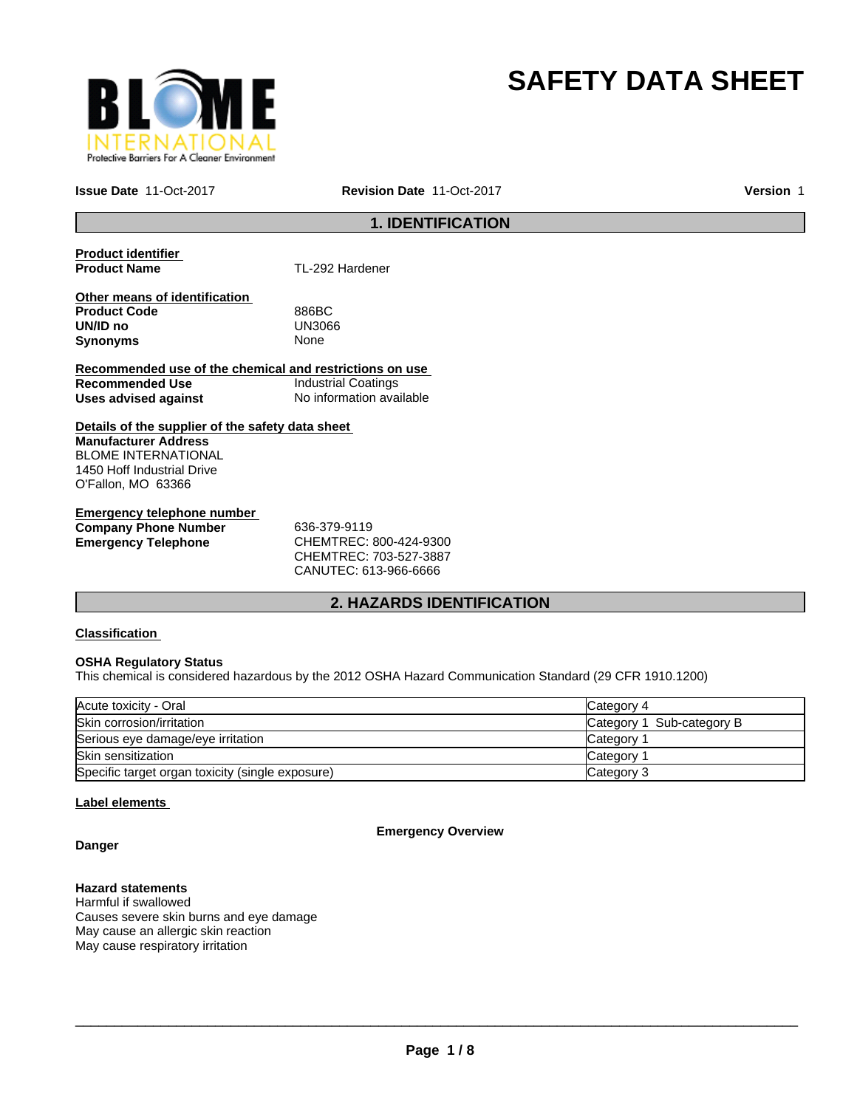

# **SAFETY DATA SHEET**

**Issue Date** 11-Oct-2017

**Revision Date** 11-Oct-2017 **Version** 1

## **1. IDENTIFICATION**

**Product identifier** 

**TL-292 Hardener** 

**Other means of identification Product Code** 886BC **UN/ID no** UN30<br>**Synonyms** None **Synonyms** 

**Recommended use of the chemical and restrictions on use Recommended Use Industrial Coatings**<br> **Uses advised against Internation** No information available **Uses advised against** 

**Details of the supplier of the safety data sheet Manufacturer Address** BLOME INTERNATIONAL 1450 Hoff Industrial Drive O'Fallon, MO 63366

**Emergency telephone number Company Phone Number** 636-379-9119 **Emergency Telephone** CHEMTREC: 800-424-9300

CHEMTREC: 703-527-3887 CANUTEC: 613-966-6666

## **2. HAZARDS IDENTIFICATION**

## **Classification**

## **OSHA Regulatory Status**

This chemical is considered hazardous by the 2012 OSHA Hazard Communication Standard (29 CFR 1910.1200)

| Acute toxicity - Oral                            | Category 4                |
|--------------------------------------------------|---------------------------|
| Skin corrosion/irritation                        | Category 1 Sub-category B |
| Serious eye damage/eye irritation                | Category 1                |
| Skin sensitization                               | Category 1                |
| Specific target organ toxicity (single exposure) | Category 3                |

## **Label elements**

**Emergency Overview**

## **Danger**

## **Hazard statements**

Harmful if swallowed Causes severe skin burns and eye damage May cause an allergic skin reaction May cause respiratory irritation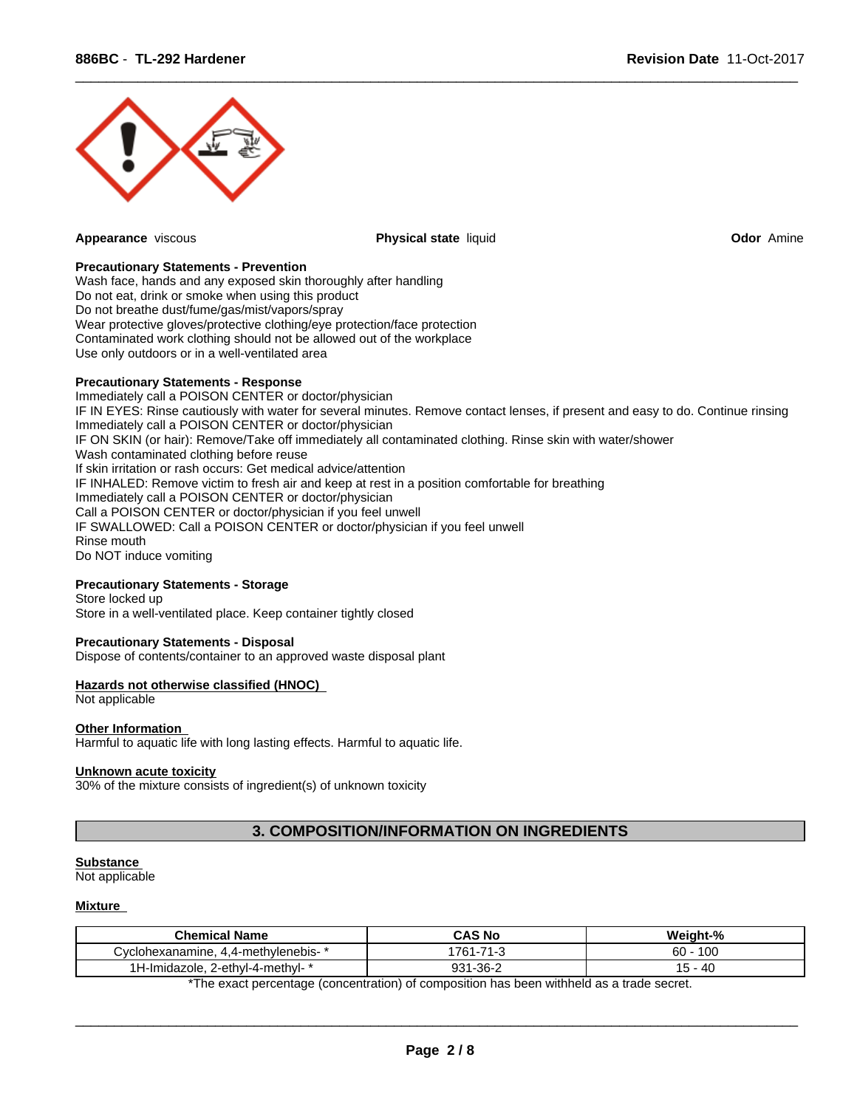

**Appearance** viscous **Physical state** liquid **Odor** Amine

 $\overline{\phantom{a}}$  ,  $\overline{\phantom{a}}$  ,  $\overline{\phantom{a}}$  ,  $\overline{\phantom{a}}$  ,  $\overline{\phantom{a}}$  ,  $\overline{\phantom{a}}$  ,  $\overline{\phantom{a}}$  ,  $\overline{\phantom{a}}$  ,  $\overline{\phantom{a}}$  ,  $\overline{\phantom{a}}$  ,  $\overline{\phantom{a}}$  ,  $\overline{\phantom{a}}$  ,  $\overline{\phantom{a}}$  ,  $\overline{\phantom{a}}$  ,  $\overline{\phantom{a}}$  ,  $\overline{\phantom{a}}$ 

## **Precautionary Statements - Prevention**

Wash face, hands and any exposed skin thoroughly after handling Do not eat, drink or smoke when using this product Do not breathe dust/fume/gas/mist/vapors/spray Wear protective gloves/protective clothing/eye protection/face protection Contaminated work clothing should not be allowed out of the workplace Use only outdoors or in a well-ventilated area

#### **Precautionary Statements - Response**

Immediately call a POISON CENTER or doctor/physician IF IN EYES: Rinse cautiously with water for several minutes. Remove contact lenses, if present and easy to do. Continue rinsing Immediately call a POISON CENTER or doctor/physician IF ON SKIN (or hair): Remove/Take off immediately all contaminated clothing. Rinse skin with water/shower Wash contaminated clothing before reuse If skin irritation or rash occurs: Get medical advice/attention IF INHALED: Remove victim to fresh air and keep at rest in a position comfortable for breathing Immediately call a POISON CENTER or doctor/physician Call a POISON CENTER or doctor/physician if you feel unwell IF SWALLOWED: Call a POISON CENTER or doctor/physician if you feel unwell Rinse mouth Do NOT induce vomiting

## **Precautionary Statements - Storage**

Store locked up Store in a well-ventilated place. Keep container tightly closed

## **Precautionary Statements - Disposal**

Dispose of contents/container to an approved waste disposal plant

## **Hazards not otherwise classified (HNOC)**

Not applicable

#### **Other Information**

Harmful to aquatic life with long lasting effects. Harmful to aquatic life.

#### **Unknown acute toxicity**

30% of the mixture consists of ingredient(s) of unknown toxicity

## **3. COMPOSITION/INFORMATION ON INGREDIENTS**

#### **Substance**

Not applicable

#### **Mixture**

| <b>Chemical Name</b>                    | <b>CAS No</b>       | Weight-%                     |
|-----------------------------------------|---------------------|------------------------------|
| . 4,4-methylenebis-<br>ش∨clohexanamine. | 74<br>761           | 10 <sup>o</sup><br>60<br>.UU |
| 2-ethyl-4-methyl-<br>'-Imidazole.       | ດລ4<br>-36-2<br>ອບ⊦ | 40<br>$\cdot$ $\circ$        |

\*The exact percentage (concentration) of composition has been withheld as a trade secret.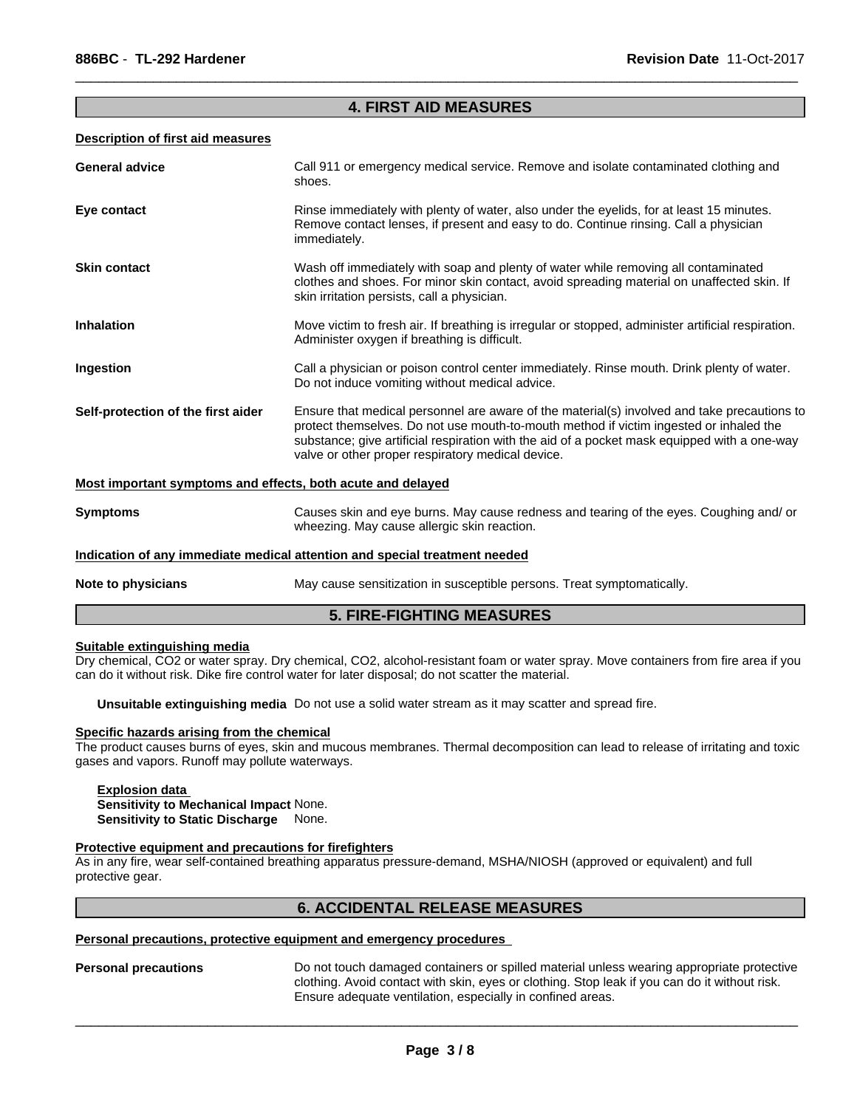## **4. FIRST AID MEASURES**

 $\overline{\phantom{a}}$  ,  $\overline{\phantom{a}}$  ,  $\overline{\phantom{a}}$  ,  $\overline{\phantom{a}}$  ,  $\overline{\phantom{a}}$  ,  $\overline{\phantom{a}}$  ,  $\overline{\phantom{a}}$  ,  $\overline{\phantom{a}}$  ,  $\overline{\phantom{a}}$  ,  $\overline{\phantom{a}}$  ,  $\overline{\phantom{a}}$  ,  $\overline{\phantom{a}}$  ,  $\overline{\phantom{a}}$  ,  $\overline{\phantom{a}}$  ,  $\overline{\phantom{a}}$  ,  $\overline{\phantom{a}}$ 

#### **Description of first aid measures**

| <b>General advice</b>                                                      | Call 911 or emergency medical service. Remove and isolate contaminated clothing and<br>shoes.                                                                                                                                                                                                                                              |  |
|----------------------------------------------------------------------------|--------------------------------------------------------------------------------------------------------------------------------------------------------------------------------------------------------------------------------------------------------------------------------------------------------------------------------------------|--|
| Eye contact                                                                | Rinse immediately with plenty of water, also under the eyelids, for at least 15 minutes.<br>Remove contact lenses, if present and easy to do. Continue rinsing. Call a physician<br>immediately.                                                                                                                                           |  |
| <b>Skin contact</b>                                                        | Wash off immediately with soap and plenty of water while removing all contaminated<br>clothes and shoes. For minor skin contact, avoid spreading material on unaffected skin. If<br>skin irritation persists, call a physician.                                                                                                            |  |
| <b>Inhalation</b>                                                          | Move victim to fresh air. If breathing is irregular or stopped, administer artificial respiration.<br>Administer oxygen if breathing is difficult.                                                                                                                                                                                         |  |
| Ingestion                                                                  | Call a physician or poison control center immediately. Rinse mouth. Drink plenty of water.<br>Do not induce vomiting without medical advice.                                                                                                                                                                                               |  |
| Self-protection of the first aider                                         | Ensure that medical personnel are aware of the material(s) involved and take precautions to<br>protect themselves. Do not use mouth-to-mouth method if victim ingested or inhaled the<br>substance; give artificial respiration with the aid of a pocket mask equipped with a one-way<br>valve or other proper respiratory medical device. |  |
| Most important symptoms and effects, both acute and delayed                |                                                                                                                                                                                                                                                                                                                                            |  |
| <b>Symptoms</b>                                                            | Causes skin and eye burns. May cause redness and tearing of the eyes. Coughing and/ or<br>wheezing. May cause allergic skin reaction.                                                                                                                                                                                                      |  |
| Indication of any immediate medical attention and special treatment needed |                                                                                                                                                                                                                                                                                                                                            |  |
| Note to physicians                                                         | May cause sensitization in susceptible persons. Treat symptomatically.                                                                                                                                                                                                                                                                     |  |

## **5. FIRE-FIGHTING MEASURES**

## **Suitable extinguishing media**

Dry chemical, CO2 or water spray. Dry chemical, CO2, alcohol-resistant foam or water spray. Move containers from fire area if you can do it without risk. Dike fire control water for later disposal; do not scatter the material.

**Unsuitable extinguishing media** Do not use a solid water stream as it may scatter and spread fire.

#### **Specific hazards arising from the chemical**

The product causes burns of eyes, skin and mucous membranes. Thermal decomposition can lead to release of irritating and toxic gases and vapors. Runoff may pollute waterways.

## **Explosion data Sensitivity to Mechanical Impact** None. **Sensitivity to Static Discharge** None.

## **Protective equipment and precautions for firefighters**

As in any fire, wear self-contained breathing apparatus pressure-demand, MSHA/NIOSH (approved or equivalent) and full protective gear.

## **6. ACCIDENTAL RELEASE MEASURES**

## **Personal precautions, protective equipment and emergency procedures**

**Personal precautions** Do not touch damaged containers or spilled material unless wearing appropriate protective clothing. Avoid contact with skin, eyes or clothing. Stop leak if you can do it without risk. Ensure adequate ventilation, especially in confined areas.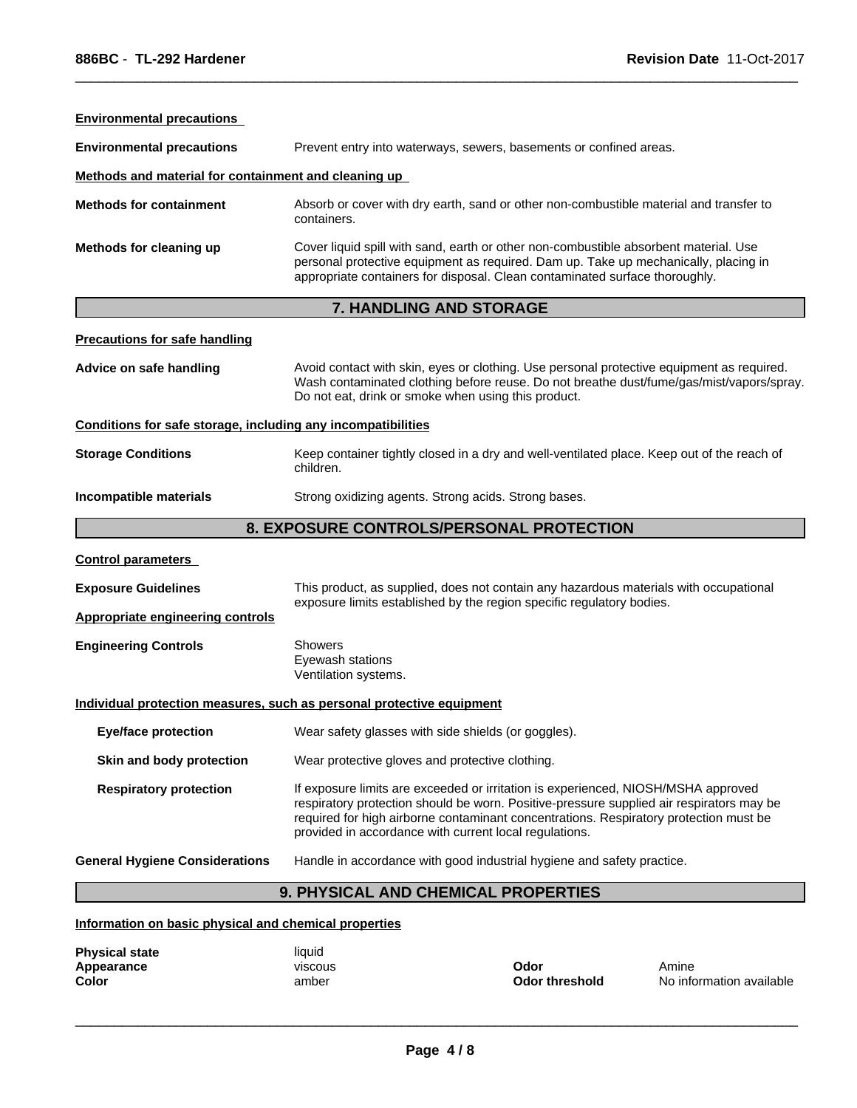| <b>Environmental precautions</b>                             |                                                                                                                                                                                                                                                                                                                                  |  |
|--------------------------------------------------------------|----------------------------------------------------------------------------------------------------------------------------------------------------------------------------------------------------------------------------------------------------------------------------------------------------------------------------------|--|
| <b>Environmental precautions</b>                             | Prevent entry into waterways, sewers, basements or confined areas.                                                                                                                                                                                                                                                               |  |
| Methods and material for containment and cleaning up         |                                                                                                                                                                                                                                                                                                                                  |  |
| <b>Methods for containment</b>                               | Absorb or cover with dry earth, sand or other non-combustible material and transfer to<br>containers.                                                                                                                                                                                                                            |  |
| Methods for cleaning up                                      | Cover liquid spill with sand, earth or other non-combustible absorbent material. Use<br>personal protective equipment as required. Dam up. Take up mechanically, placing in<br>appropriate containers for disposal. Clean contaminated surface thoroughly.                                                                       |  |
|                                                              | 7. HANDLING AND STORAGE                                                                                                                                                                                                                                                                                                          |  |
| <b>Precautions for safe handling</b>                         |                                                                                                                                                                                                                                                                                                                                  |  |
| Advice on safe handling                                      | Avoid contact with skin, eyes or clothing. Use personal protective equipment as required.<br>Wash contaminated clothing before reuse. Do not breathe dust/fume/gas/mist/vapors/spray.<br>Do not eat, drink or smoke when using this product.                                                                                     |  |
| Conditions for safe storage, including any incompatibilities |                                                                                                                                                                                                                                                                                                                                  |  |
| <b>Storage Conditions</b>                                    | Keep container tightly closed in a dry and well-ventilated place. Keep out of the reach of<br>children.                                                                                                                                                                                                                          |  |
| Incompatible materials                                       | Strong oxidizing agents. Strong acids. Strong bases.                                                                                                                                                                                                                                                                             |  |
|                                                              | 8. EXPOSURE CONTROLS/PERSONAL PROTECTION                                                                                                                                                                                                                                                                                         |  |
| <b>Control parameters</b>                                    |                                                                                                                                                                                                                                                                                                                                  |  |
| <b>Exposure Guidelines</b>                                   | This product, as supplied, does not contain any hazardous materials with occupational<br>exposure limits established by the region specific regulatory bodies.                                                                                                                                                                   |  |
| <b>Appropriate engineering controls</b>                      |                                                                                                                                                                                                                                                                                                                                  |  |
| <b>Engineering Controls</b>                                  | <b>Showers</b><br>Eyewash stations<br>Ventilation systems.                                                                                                                                                                                                                                                                       |  |
|                                                              | Individual protection measures, such as personal protective equipment                                                                                                                                                                                                                                                            |  |
| <b>Eye/face protection</b>                                   | Wear safety glasses with side shields (or goggles)                                                                                                                                                                                                                                                                               |  |
| Skin and body protection                                     | Wear protective gloves and protective clothing.                                                                                                                                                                                                                                                                                  |  |
| <b>Respiratory protection</b>                                | If exposure limits are exceeded or irritation is experienced, NIOSH/MSHA approved<br>respiratory protection should be worn. Positive-pressure supplied air respirators may be<br>required for high airborne contaminant concentrations. Respiratory protection must be<br>provided in accordance with current local regulations. |  |
| <b>General Hygiene Considerations</b>                        | Handle in accordance with good industrial hygiene and safety practice.                                                                                                                                                                                                                                                           |  |
|                                                              |                                                                                                                                                                                                                                                                                                                                  |  |

 $\overline{\phantom{a}}$  ,  $\overline{\phantom{a}}$  ,  $\overline{\phantom{a}}$  ,  $\overline{\phantom{a}}$  ,  $\overline{\phantom{a}}$  ,  $\overline{\phantom{a}}$  ,  $\overline{\phantom{a}}$  ,  $\overline{\phantom{a}}$  ,  $\overline{\phantom{a}}$  ,  $\overline{\phantom{a}}$  ,  $\overline{\phantom{a}}$  ,  $\overline{\phantom{a}}$  ,  $\overline{\phantom{a}}$  ,  $\overline{\phantom{a}}$  ,  $\overline{\phantom{a}}$  ,  $\overline{\phantom{a}}$ 

## **Information on basic physical and chemical properties**

| <b>Physical state</b> | liauid  |
|-----------------------|---------|
| Appearance            | viscous |
| Color                 | amber   |

**Odor** Amine

 $\overline{\phantom{a}}$  ,  $\overline{\phantom{a}}$  ,  $\overline{\phantom{a}}$  ,  $\overline{\phantom{a}}$  ,  $\overline{\phantom{a}}$  ,  $\overline{\phantom{a}}$  ,  $\overline{\phantom{a}}$  ,  $\overline{\phantom{a}}$  ,  $\overline{\phantom{a}}$  ,  $\overline{\phantom{a}}$  ,  $\overline{\phantom{a}}$  ,  $\overline{\phantom{a}}$  ,  $\overline{\phantom{a}}$  ,  $\overline{\phantom{a}}$  ,  $\overline{\phantom{a}}$  ,  $\overline{\phantom{a}}$ 

**Odor threshold** No information available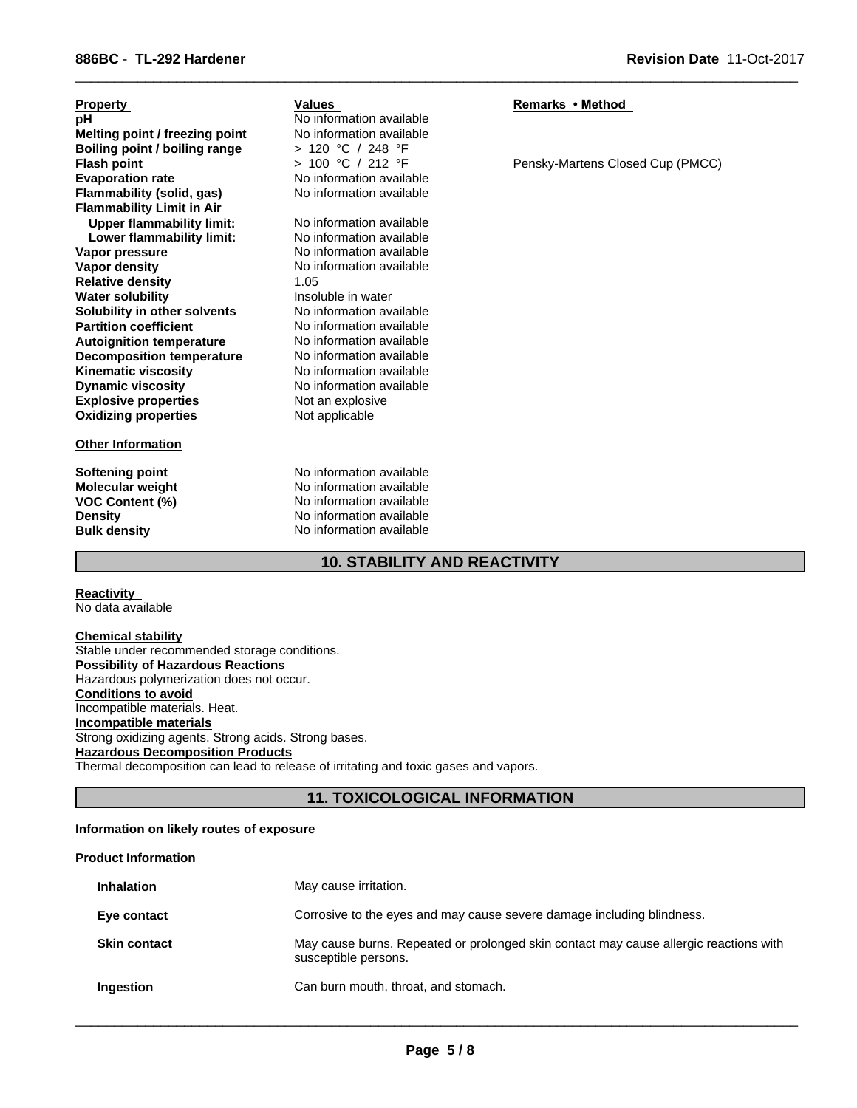| <b>Property</b>                  | <b>Values</b><br>No information available | Remarks • Method                 |
|----------------------------------|-------------------------------------------|----------------------------------|
| рH                               | No information available                  |                                  |
| Melting point / freezing point   |                                           |                                  |
| Boiling point / boiling range    | > 120 °C / 248 °F                         |                                  |
| <b>Flash point</b>               | $> 100$ °C / 212 °F                       | Pensky-Martens Closed Cup (PMCC) |
| <b>Evaporation rate</b>          | No information available                  |                                  |
| Flammability (solid, gas)        | No information available                  |                                  |
| <b>Flammability Limit in Air</b> |                                           |                                  |
| <b>Upper flammability limit:</b> | No information available                  |                                  |
| Lower flammability limit:        | No information available                  |                                  |
| Vapor pressure                   | No information available                  |                                  |
| Vapor density                    | No information available                  |                                  |
| <b>Relative density</b>          | 1.05                                      |                                  |
| <b>Water solubility</b>          | Insoluble in water                        |                                  |
| Solubility in other solvents     | No information available                  |                                  |
| <b>Partition coefficient</b>     | No information available                  |                                  |
| <b>Autoignition temperature</b>  | No information available                  |                                  |
| <b>Decomposition temperature</b> | No information available                  |                                  |
| <b>Kinematic viscosity</b>       | No information available                  |                                  |
| <b>Dynamic viscosity</b>         | No information available                  |                                  |
| <b>Explosive properties</b>      | Not an explosive                          |                                  |
| <b>Oxidizing properties</b>      | Not applicable                            |                                  |
| <b>Other Information</b>         |                                           |                                  |
| Softening point                  | No information available                  |                                  |
| <b>Molecular weight</b>          | No information available                  |                                  |

 $\overline{\phantom{a}}$  ,  $\overline{\phantom{a}}$  ,  $\overline{\phantom{a}}$  ,  $\overline{\phantom{a}}$  ,  $\overline{\phantom{a}}$  ,  $\overline{\phantom{a}}$  ,  $\overline{\phantom{a}}$  ,  $\overline{\phantom{a}}$  ,  $\overline{\phantom{a}}$  ,  $\overline{\phantom{a}}$  ,  $\overline{\phantom{a}}$  ,  $\overline{\phantom{a}}$  ,  $\overline{\phantom{a}}$  ,  $\overline{\phantom{a}}$  ,  $\overline{\phantom{a}}$  ,  $\overline{\phantom{a}}$ 

**VOC Content (%)**<br> **VOC Content (%)**<br>
No information available<br>
No information available **Density** No information available<br> **Bulk density** No information available

**Reactivity**  No data available

**Chemical stability** Stable under recommended storage conditions. **Possibility of Hazardous Reactions** Hazardous polymerization does not occur. **Conditions to avoid** Incompatible materials. Heat. **Incompatible materials** Strong oxidizing agents. Strong acids. Strong bases. **Hazardous Decomposition Products** Thermal decomposition can lead to release of irritating and toxic gases and vapors.

**No information available** 

## **11. TOXICOLOGICAL INFORMATION**

**10. STABILITY AND REACTIVITY**

## **Information on likely routes of exposure**

## **Product Information**

| <b>Inhalation</b>   | May cause irritation.                                                                                         |
|---------------------|---------------------------------------------------------------------------------------------------------------|
| Eye contact         | Corrosive to the eyes and may cause severe damage including blindness.                                        |
| <b>Skin contact</b> | May cause burns. Repeated or prolonged skin contact may cause allergic reactions with<br>susceptible persons. |
| Ingestion           | Can burn mouth, throat, and stomach.                                                                          |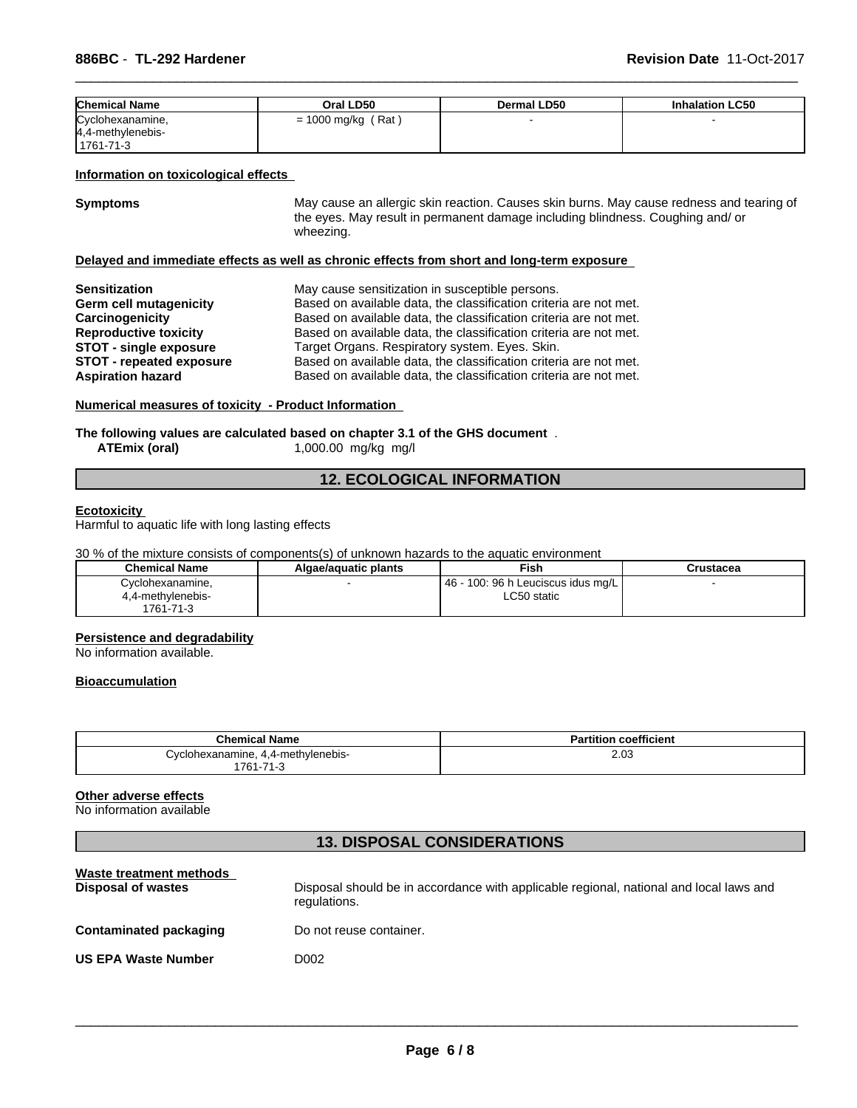| <b>Chemical Name</b> | Oral LD50            | Dermal LD50 | <b>Inhalation LC50</b> |
|----------------------|----------------------|-------------|------------------------|
| Cyclohexanamine,     | $= 1000$ mg/kg (Rat) |             |                        |
| 4.4-methylenebis-    |                      |             |                        |
| 1761-71-3            |                      |             |                        |

#### **Information on toxicological effects**

**Symptoms** May cause an allergic skin reaction. Causes skin burns. May cause redness and tearing of the eyes. May result in permanent damage including blindness. Coughing and/ or wheezing.

 $\overline{\phantom{a}}$  ,  $\overline{\phantom{a}}$  ,  $\overline{\phantom{a}}$  ,  $\overline{\phantom{a}}$  ,  $\overline{\phantom{a}}$  ,  $\overline{\phantom{a}}$  ,  $\overline{\phantom{a}}$  ,  $\overline{\phantom{a}}$  ,  $\overline{\phantom{a}}$  ,  $\overline{\phantom{a}}$  ,  $\overline{\phantom{a}}$  ,  $\overline{\phantom{a}}$  ,  $\overline{\phantom{a}}$  ,  $\overline{\phantom{a}}$  ,  $\overline{\phantom{a}}$  ,  $\overline{\phantom{a}}$ 

## **Delayed and immediate effects as well as chronic effects from short and long-term exposure**

| <b>Sensitization</b>            | May cause sensitization in susceptible persons.                   |
|---------------------------------|-------------------------------------------------------------------|
| Germ cell mutagenicity          | Based on available data, the classification criteria are not met. |
| Carcinogenicity                 | Based on available data, the classification criteria are not met. |
| <b>Reproductive toxicity</b>    | Based on available data, the classification criteria are not met. |
| <b>STOT - single exposure</b>   | Target Organs. Respiratory system. Eyes. Skin.                    |
| <b>STOT - repeated exposure</b> | Based on available data, the classification criteria are not met. |
| <b>Aspiration hazard</b>        | Based on available data, the classification criteria are not met. |

#### **Numerical measures of toxicity - Product Information**

## **The following values are calculated based on chapter 3.1 of the GHS document** .<br>ATEmix (oral) 1,000.00 mg/kg mg/l

**ATEmix (oral)** 1,000.00 mg/kg mg/l

## **12. ECOLOGICAL INFORMATION**

#### **Ecotoxicity**

Harmful to aquatic life with long lasting effects

30 % of the mixture consists of components(s) of unknown hazards to the aquatic environment

| <b>Chemical Name</b> | Algae/aquatic plants | Fish                                      | Crustacea |  |
|----------------------|----------------------|-------------------------------------------|-----------|--|
| Cyclohexanamine.     |                      | - 100: 96 h Leuciscus idus mg/L  <br>- 46 |           |  |
| 4,4-methylenebis-    |                      | LC50 static                               |           |  |
| 1761-71-3            |                      |                                           |           |  |

#### **Persistence and degradability**

No information available.

## **Bioaccumulation**

| <b>Chemical Name</b>                                                             | coefficient<br>Partition |
|----------------------------------------------------------------------------------|--------------------------|
| -4-methylenebis,<br>hexanamıne.<br>;vclor<br>. .<br>$'761 -$<br>74<br>. .<br>د.- | 2.03<br>__               |

## **Other adverse effects**

No information available

## **13. DISPOSAL CONSIDERATIONS**

| Waste treatment methods<br>Disposal of wastes | Disposal should be in accordance with applicable regional, national and local laws and<br>regulations. |
|-----------------------------------------------|--------------------------------------------------------------------------------------------------------|
| Contaminated packaging                        | Do not reuse container.                                                                                |
| <b>US EPA Waste Number</b>                    | D002                                                                                                   |
|                                               |                                                                                                        |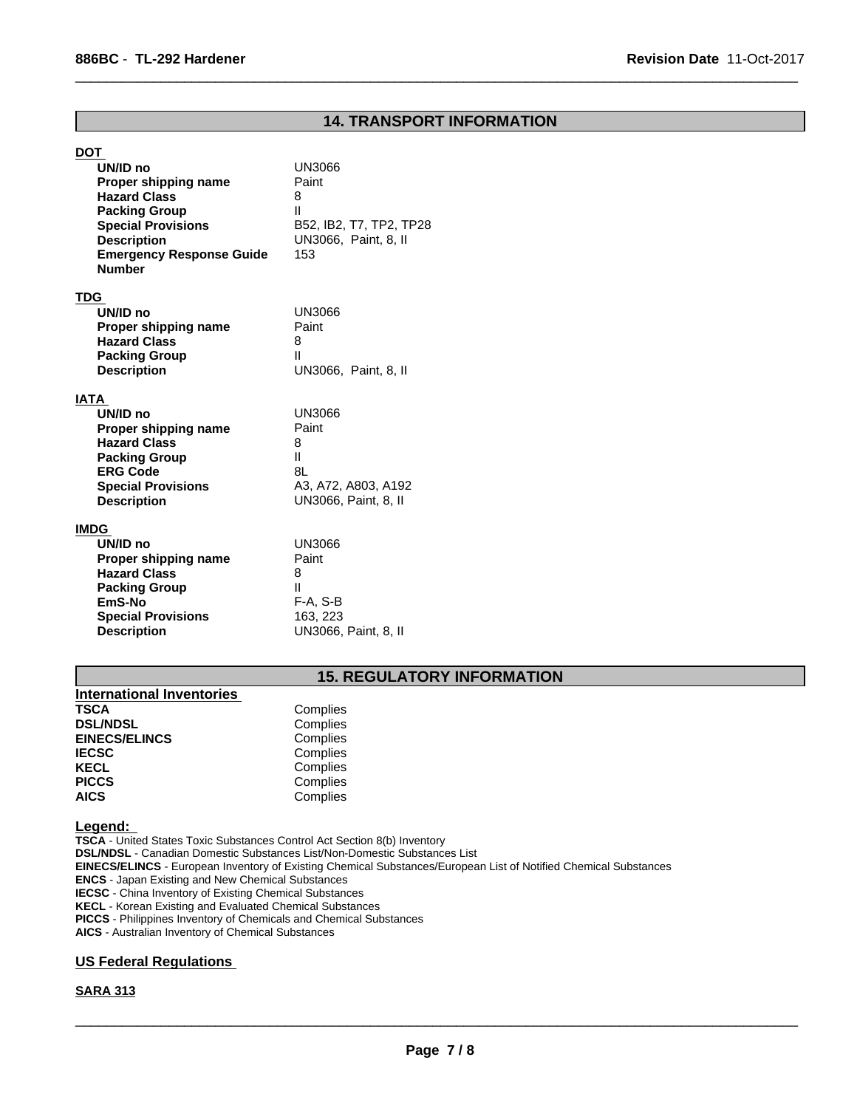## **14. TRANSPORT INFORMATION**

 $\overline{\phantom{a}}$  ,  $\overline{\phantom{a}}$  ,  $\overline{\phantom{a}}$  ,  $\overline{\phantom{a}}$  ,  $\overline{\phantom{a}}$  ,  $\overline{\phantom{a}}$  ,  $\overline{\phantom{a}}$  ,  $\overline{\phantom{a}}$  ,  $\overline{\phantom{a}}$  ,  $\overline{\phantom{a}}$  ,  $\overline{\phantom{a}}$  ,  $\overline{\phantom{a}}$  ,  $\overline{\phantom{a}}$  ,  $\overline{\phantom{a}}$  ,  $\overline{\phantom{a}}$  ,  $\overline{\phantom{a}}$ 

| <u>DOT</u>                                  |                         |
|---------------------------------------------|-------------------------|
| UN/ID no                                    | <b>UN3066</b>           |
| Proper shipping name                        | Paint                   |
| <b>Hazard Class</b>                         | 8                       |
| <b>Packing Group</b>                        | Ш                       |
| <b>Special Provisions</b>                   | B52, IB2, T7, TP2, TP28 |
| <b>Description</b>                          | UN3066, Paint, 8, II    |
| <b>Emergency Response Guide</b>             | 153                     |
| <b>Number</b>                               |                         |
|                                             |                         |
| T <u>DG</u>                                 |                         |
| UN/ID no                                    | UN3066                  |
| Proper shipping name<br><b>Hazard Class</b> | Paint                   |
|                                             | 8<br>Ш                  |
| <b>Packing Group</b>                        |                         |
| <b>Description</b>                          | UN3066, Paint, 8, II    |
| ΙΑΤΑ                                        |                         |
| UN/ID no                                    | <b>UN3066</b>           |
| Proper shipping name                        | Paint                   |
| <b>Hazard Class</b>                         | 8                       |
| <b>Packing Group</b>                        | $\mathsf{II}$           |
| <b>ERG Code</b>                             | 8L                      |
| <b>Special Provisions</b>                   | A3, A72, A803, A192     |
| <b>Description</b>                          | UN3066, Paint, 8, II    |
| <u>IMDG</u>                                 |                         |
| UN/ID no                                    | <b>UN3066</b>           |
|                                             | Paint                   |
| Proper shipping name<br><b>Hazard Class</b> | 8                       |
| <b>Packing Group</b>                        | Ш                       |
| EmS-No                                      | $F-A, S-B$              |
| <b>Special Provisions</b>                   | 163, 223                |
| <b>Description</b>                          | UN3066, Paint, 8, II    |
|                                             |                         |

## **15. REGULATORY INFORMATION**

| International Inventories |          |  |
|---------------------------|----------|--|
| <b>TSCA</b>               | Complies |  |
| <b>DSL/NDSL</b>           | Complies |  |
| <b>EINECS/ELINCS</b>      | Complies |  |
| <b>IECSC</b>              | Complies |  |
| <b>KECL</b>               | Complies |  |
| <b>PICCS</b>              | Complies |  |
| <b>AICS</b>               | Complies |  |

#### **Legend:**

**TSCA** - United States Toxic Substances Control Act Section 8(b) Inventory **DSL/NDSL** - Canadian Domestic Substances List/Non-Domestic Substances List **EINECS/ELINCS** - European Inventory of Existing Chemical Substances/European List of Notified Chemical Substances **ENCS** - Japan Existing and New Chemical Substances **IECSC** - China Inventory of Existing Chemical Substances **KECL** - Korean Existing and Evaluated Chemical Substances **PICCS** - Philippines Inventory of Chemicals and Chemical Substances **AICS** - Australian Inventory of Chemical Substances

## **US Federal Regulations**

## **SARA 313**